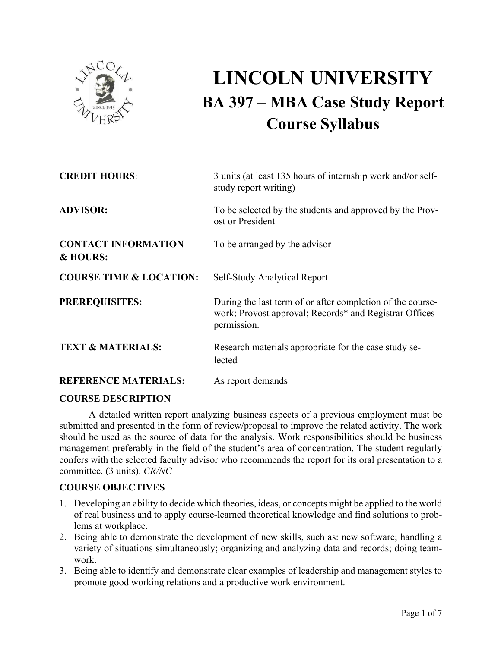

# **LINCOLN UNIVERSITY BA 397 – MBA Case Study Report Course Syllabus**

| <b>CREDIT HOURS:</b>                   | 3 units (at least 135 hours of internship work and/or self-<br>study report writing)                                                |
|----------------------------------------|-------------------------------------------------------------------------------------------------------------------------------------|
| <b>ADVISOR:</b>                        | To be selected by the students and approved by the Prov-<br>ost or President                                                        |
| <b>CONTACT INFORMATION</b><br>& HOURS: | To be arranged by the advisor                                                                                                       |
| <b>COURSE TIME &amp; LOCATION:</b>     | <b>Self-Study Analytical Report</b>                                                                                                 |
| <b>PREREQUISITES:</b>                  | During the last term of or after completion of the course-<br>work; Provost approval; Records* and Registrar Offices<br>permission. |
| <b>TEXT &amp; MATERIALS:</b>           | Research materials appropriate for the case study se-<br>lected                                                                     |
| <b>REFERENCE MATERIALS:</b>            | As report demands                                                                                                                   |

# **COURSE DESCRIPTION**

A detailed written report analyzing business aspects of a previous employment must be submitted and presented in the form of review/proposal to improve the related activity. The work should be used as the source of data for the analysis. Work responsibilities should be business management preferably in the field of the student's area of concentration. The student regularly confers with the selected faculty advisor who recommends the report for its oral presentation to a committee. (3 units). *CR/NC*

# **COURSE OBJECTIVES**

- 1. Developing an ability to decide which theories, ideas, or concepts might be applied to the world of real business and to apply course-learned theoretical knowledge and find solutions to problems at workplace.
- 2. Being able to demonstrate the development of new skills, such as: new software; handling a variety of situations simultaneously; organizing and analyzing data and records; doing teamwork.
- 3. Being able to identify and demonstrate clear examples of leadership and management styles to promote good working relations and a productive work environment.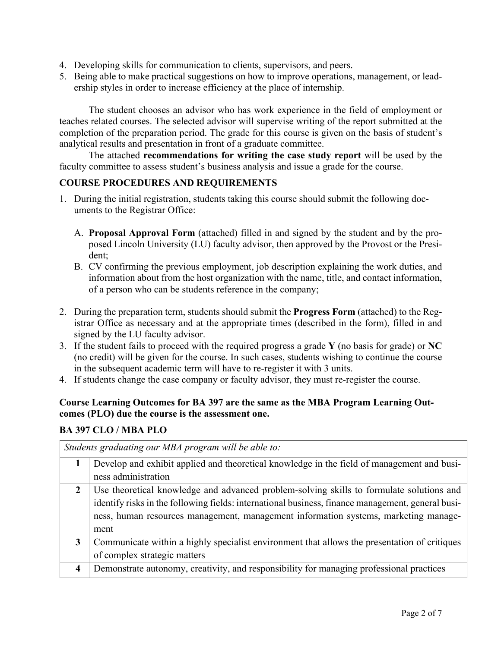- 4. Developing skills for communication to clients, supervisors, and peers.
- 5. Being able to make practical suggestions on how to improve operations, management, or leadership styles in order to increase efficiency at the place of internship.

The student chooses an advisor who has work experience in the field of employment or teaches related courses. The selected advisor will supervise writing of the report submitted at the completion of the preparation period. The grade for this course is given on the basis of student's analytical results and presentation in front of a graduate committee.

The attached **recommendations for writing the case study report** will be used by the faculty committee to assess student's business analysis and issue a grade for the course.

# **COURSE PROCEDURES AND REQUIREMENTS**

- 1. During the initial registration, students taking this course should submit the following documents to the Registrar Office:
	- A. **Proposal Approval Form** (attached) filled in and signed by the student and by the proposed Lincoln University (LU) faculty advisor, then approved by the Provost or the President;
	- B. CV confirming the previous employment, job description explaining the work duties, and information about from the host organization with the name, title, and contact information, of a person who can be students reference in the company;
- 2. During the preparation term, students should submit the **Progress Form** (attached) to the Registrar Office as necessary and at the appropriate times (described in the form), filled in and signed by the LU faculty advisor.
- 3. If the student fails to proceed with the required progress a grade **Y** (no basis for grade) or **NC**  (no credit) will be given for the course. In such cases, students wishing to continue the course in the subsequent academic term will have to re-register it with 3 units.
- 4. If students change the case company or faculty advisor, they must re-register the course.

# **Course Learning Outcomes for BA 397 are the same as the MBA Program Learning Outcomes (PLO) due the course is the assessment one.**

# **BA 397 CLO / MBA PLO**

*Students graduating our MBA program will be able to:* **1** Develop and exhibit applied and theoretical knowledge in the field of management and business administration 2 Use theoretical knowledge and advanced problem-solving skills to formulate solutions and identify risks in the following fields: international business, finance management, general business, human resources management, management information systems, marketing management **3** Communicate within a highly specialist environment that allows the presentation of critiques of complex strategic matters **4** Demonstrate autonomy, creativity, and responsibility for managing professional practices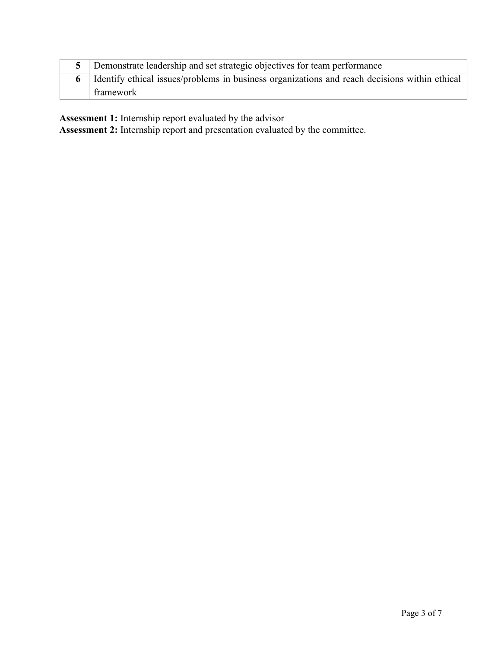| 5 Demonstrate leadership and set strategic objectives for team performance                        |
|---------------------------------------------------------------------------------------------------|
| 6   Identify ethical issues/problems in business organizations and reach decisions within ethical |
| ' framework                                                                                       |

**Assessment 1:** Internship report evaluated by the advisor

**Assessment 2:** Internship report and presentation evaluated by the committee.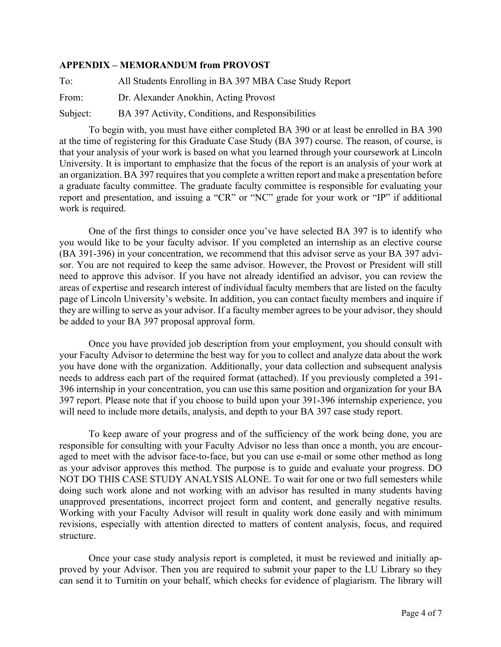# **APPENDIX – MEMORANDUM from PROVOST**

To: All Students Enrolling in BA 397 MBA Case Study Report From: Dr. Alexander Anokhin, Acting Provost Subject: BA 397 Activity, Conditions, and Responsibilities

To begin with, you must have either completed BA 390 or at least be enrolled in BA 390 at the time of registering for this Graduate Case Study (BA 397) course. The reason, of course, is that your analysis of your work is based on what you learned through your coursework at Lincoln University. It is important to emphasize that the focus of the report is an analysis of your work at an organization. BA 397 requires that you complete a written report and make a presentation before a graduate faculty committee. The graduate faculty committee is responsible for evaluating your report and presentation, and issuing a "CR" or "NC" grade for your work or "IP" if additional work is required.

One of the first things to consider once you've have selected BA 397 is to identify who you would like to be your faculty advisor. If you completed an internship as an elective course (BA 391-396) in your concentration, we recommend that this advisor serve as your BA 397 advisor. You are not required to keep the same advisor. However, the Provost or President will still need to approve this advisor. If you have not already identified an advisor, you can review the areas of expertise and research interest of individual faculty members that are listed on the faculty page of Lincoln University's website. In addition, you can contact faculty members and inquire if they are willing to serve as your advisor. If a faculty member agrees to be your advisor, they should be added to your BA 397 proposal approval form.

Once you have provided job description from your employment, you should consult with your Faculty Advisor to determine the best way for you to collect and analyze data about the work you have done with the organization. Additionally, your data collection and subsequent analysis needs to address each part of the required format (attached). If you previously completed a 391- 396 internship in your concentration, you can use this same position and organization for your BA 397 report. Please note that if you choose to build upon your 391-396 internship experience, you will need to include more details, analysis, and depth to your BA 397 case study report.

To keep aware of your progress and of the sufficiency of the work being done, you are responsible for consulting with your Faculty Advisor no less than once a month, you are encouraged to meet with the advisor face-to-face, but you can use e-mail or some other method as long as your advisor approves this method. The purpose is to guide and evaluate your progress. DO NOT DO THIS CASE STUDY ANALYSIS ALONE. To wait for one or two full semesters while doing such work alone and not working with an advisor has resulted in many students having unapproved presentations, incorrect project form and content, and generally negative results. Working with your Faculty Advisor will result in quality work done easily and with minimum revisions, especially with attention directed to matters of content analysis, focus, and required structure.

Once your case study analysis report is completed, it must be reviewed and initially approved by your Advisor. Then you are required to submit your paper to the LU Library so they can send it to Turnitin on your behalf, which checks for evidence of plagiarism. The library will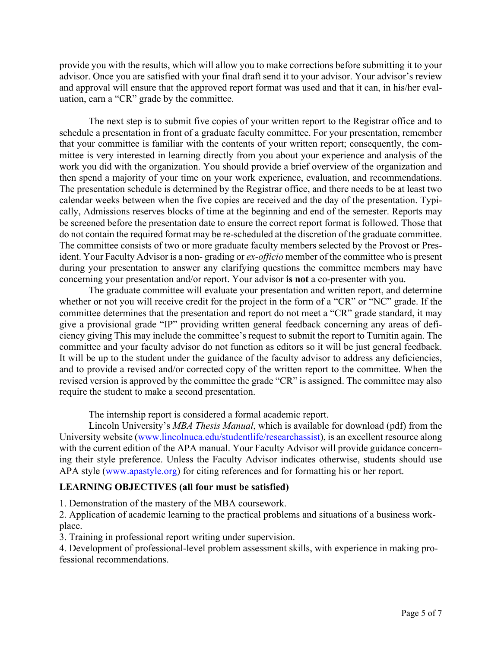provide you with the results, which will allow you to make corrections before submitting it to your advisor. Once you are satisfied with your final draft send it to your advisor. Your advisor's review and approval will ensure that the approved report format was used and that it can, in his/her evaluation, earn a "CR" grade by the committee.

The next step is to submit five copies of your written report to the Registrar office and to schedule a presentation in front of a graduate faculty committee. For your presentation, remember that your committee is familiar with the contents of your written report; consequently, the committee is very interested in learning directly from you about your experience and analysis of the work you did with the organization. You should provide a brief overview of the organization and then spend a majority of your time on your work experience, evaluation, and recommendations. The presentation schedule is determined by the Registrar office, and there needs to be at least two calendar weeks between when the five copies are received and the day of the presentation. Typically, Admissions reserves blocks of time at the beginning and end of the semester. Reports may be screened before the presentation date to ensure the correct report format is followed. Those that do not contain the required format may be re-scheduled at the discretion of the graduate committee. The committee consists of two or more graduate faculty members selected by the Provost or President. Your Faculty Advisor is a non- grading or *ex-officio* member of the committee who is present during your presentation to answer any clarifying questions the committee members may have concerning your presentation and/or report. Your advisor **is not** a co-presenter with you.

The graduate committee will evaluate your presentation and written report, and determine whether or not you will receive credit for the project in the form of a "CR" or "NC" grade. If the committee determines that the presentation and report do not meet a "CR" grade standard, it may give a provisional grade "IP" providing written general feedback concerning any areas of deficiency giving This may include the committee's request to submit the report to Turnitin again. The committee and your faculty advisor do not function as editors so it will be just general feedback. It will be up to the student under the guidance of the faculty advisor to address any deficiencies, and to provide a revised and/or corrected copy of the written report to the committee. When the revised version is approved by the committee the grade "CR" is assigned. The committee may also require the student to make a second presentation.

The internship report is considered a formal academic report.

Lincoln University's *MBA Thesis Manual*, which is available for download (pdf) from the University website (www.lincolnuca.edu/studentlife/researchassist), is an excellent resource along with the current edition of the APA manual. Your Faculty Advisor will provide guidance concerning their style preference. Unless the Faculty Advisor indicates otherwise, students should use APA style (www.apastyle.org) for citing references and for formatting his or her report.

# **LEARNING OBJECTIVES (all four must be satisfied)**

1. Demonstration of the mastery of the MBA coursework.

2. Application of academic learning to the practical problems and situations of a business workplace.

3. Training in professional report writing under supervision.

4. Development of professional-level problem assessment skills, with experience in making professional recommendations.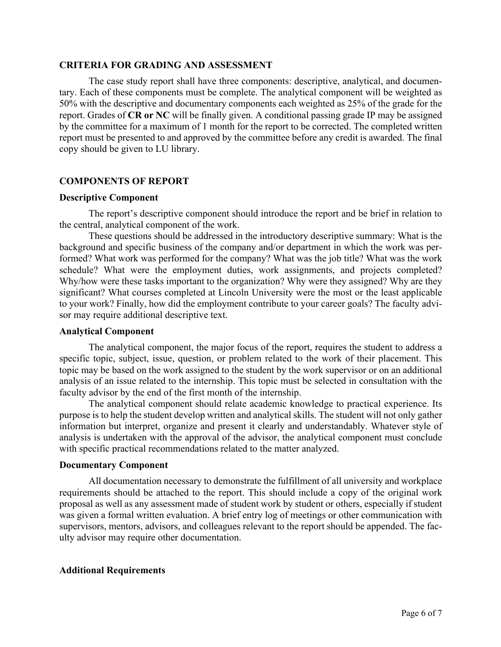#### **CRITERIA FOR GRADING AND ASSESSMENT**

The case study report shall have three components: descriptive, analytical, and documentary. Each of these components must be complete. The analytical component will be weighted as 50% with the descriptive and documentary components each weighted as 25% of the grade for the report. Grades of **CR or NC** will be finally given. A conditional passing grade IP may be assigned by the committee for a maximum of 1 month for the report to be corrected. The completed written report must be presented to and approved by the committee before any credit is awarded. The final copy should be given to LU library.

# **COMPONENTS OF REPORT**

#### **Descriptive Component**

The report's descriptive component should introduce the report and be brief in relation to the central, analytical component of the work.

These questions should be addressed in the introductory descriptive summary: What is the background and specific business of the company and/or department in which the work was performed? What work was performed for the company? What was the job title? What was the work schedule? What were the employment duties, work assignments, and projects completed? Why/how were these tasks important to the organization? Why were they assigned? Why are they significant? What courses completed at Lincoln University were the most or the least applicable to your work? Finally, how did the employment contribute to your career goals? The faculty advisor may require additional descriptive text.

# **Analytical Component**

The analytical component, the major focus of the report, requires the student to address a specific topic, subject, issue, question, or problem related to the work of their placement. This topic may be based on the work assigned to the student by the work supervisor or on an additional analysis of an issue related to the internship. This topic must be selected in consultation with the faculty advisor by the end of the first month of the internship.

The analytical component should relate academic knowledge to practical experience. Its purpose is to help the student develop written and analytical skills. The student will not only gather information but interpret, organize and present it clearly and understandably. Whatever style of analysis is undertaken with the approval of the advisor, the analytical component must conclude with specific practical recommendations related to the matter analyzed.

# **Documentary Component**

All documentation necessary to demonstrate the fulfillment of all university and workplace requirements should be attached to the report. This should include a copy of the original work proposal as well as any assessment made of student work by student or others, especially if student was given a formal written evaluation. A brief entry log of meetings or other communication with supervisors, mentors, advisors, and colleagues relevant to the report should be appended. The faculty advisor may require other documentation.

# **Additional Requirements**